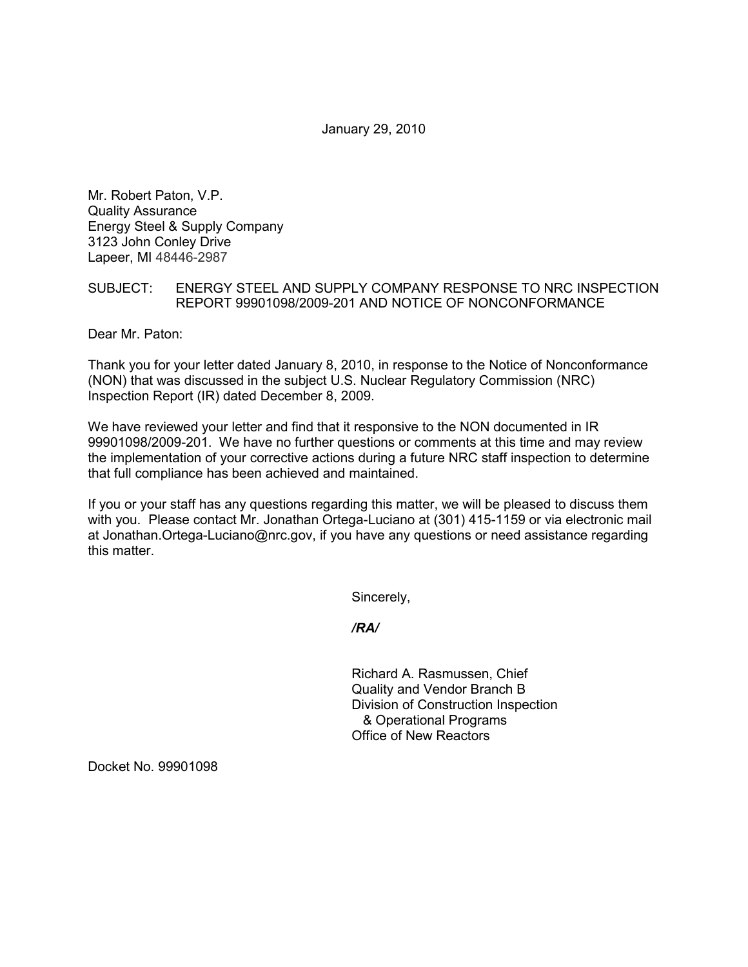January 29, 2010

Mr. Robert Paton, V.P. Quality Assurance Energy Steel & Supply Company 3123 John Conley Drive Lapeer, MI 48446-2987

## SUBJECT: ENERGY STEEL AND SUPPLY COMPANY RESPONSE TO NRC INSPECTION REPORT 99901098/2009-201 AND NOTICE OF NONCONFORMANCE

Dear Mr. Paton:

Thank you for your letter dated January 8, 2010, in response to the Notice of Nonconformance (NON) that was discussed in the subject U.S. Nuclear Regulatory Commission (NRC) Inspection Report (IR) dated December 8, 2009.

We have reviewed your letter and find that it responsive to the NON documented in IR 99901098/2009-201. We have no further questions or comments at this time and may review the implementation of your corrective actions during a future NRC staff inspection to determine that full compliance has been achieved and maintained.

If you or your staff has any questions regarding this matter, we will be pleased to discuss them with you. Please contact Mr. Jonathan Ortega-Luciano at (301) 415-1159 or via electronic mail at Jonathan.Ortega-Luciano@nrc.gov, if you have any questions or need assistance regarding this matter.

Sincerely,

*/RA/* 

Richard A. Rasmussen, Chief Quality and Vendor Branch B Division of Construction Inspection & Operational Programs Office of New Reactors

Docket No. 99901098